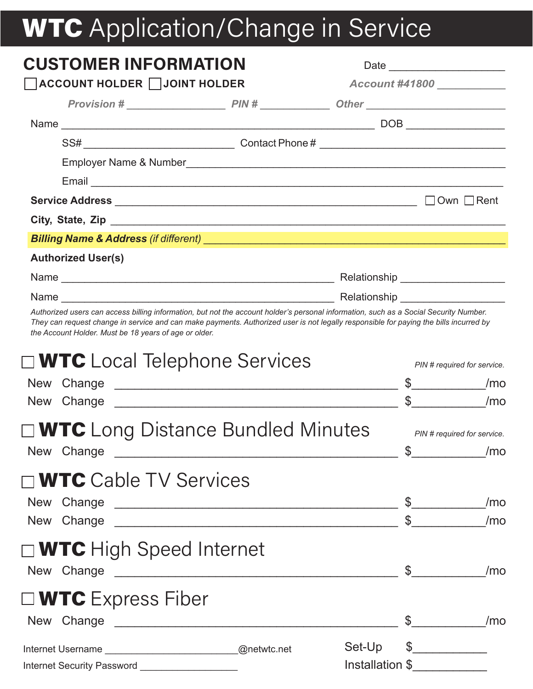# WTC Application/Change in Service

| <b>CUSTOMER INFORMATION</b>                                                                                                                                                                                                         |                                                                                                                                                                                                                                                                                                                                                                               |
|-------------------------------------------------------------------------------------------------------------------------------------------------------------------------------------------------------------------------------------|-------------------------------------------------------------------------------------------------------------------------------------------------------------------------------------------------------------------------------------------------------------------------------------------------------------------------------------------------------------------------------|
| ACCOUNT HOLDER JOINT HOLDER                                                                                                                                                                                                         | Account #41800 __________                                                                                                                                                                                                                                                                                                                                                     |
|                                                                                                                                                                                                                                     |                                                                                                                                                                                                                                                                                                                                                                               |
|                                                                                                                                                                                                                                     |                                                                                                                                                                                                                                                                                                                                                                               |
|                                                                                                                                                                                                                                     |                                                                                                                                                                                                                                                                                                                                                                               |
|                                                                                                                                                                                                                                     |                                                                                                                                                                                                                                                                                                                                                                               |
|                                                                                                                                                                                                                                     |                                                                                                                                                                                                                                                                                                                                                                               |
|                                                                                                                                                                                                                                     | $\Box$ Own $\Box$ Rent                                                                                                                                                                                                                                                                                                                                                        |
|                                                                                                                                                                                                                                     |                                                                                                                                                                                                                                                                                                                                                                               |
|                                                                                                                                                                                                                                     |                                                                                                                                                                                                                                                                                                                                                                               |
| <b>Authorized User(s)</b>                                                                                                                                                                                                           |                                                                                                                                                                                                                                                                                                                                                                               |
|                                                                                                                                                                                                                                     |                                                                                                                                                                                                                                                                                                                                                                               |
|                                                                                                                                                                                                                                     |                                                                                                                                                                                                                                                                                                                                                                               |
| the Account Holder. Must be 18 years of age or older.                                                                                                                                                                               | Authorized users can access billing information, but not the account holder's personal information, such as a Social Security Number.<br>They can request change in service and can make payments. Authorized user is not legally responsible for paying the bills incurred by                                                                                                |
| $\square$ WTC Local Telephone Services                                                                                                                                                                                              | PIN # required for service.                                                                                                                                                                                                                                                                                                                                                   |
|                                                                                                                                                                                                                                     | /m <sub>o</sub>                                                                                                                                                                                                                                                                                                                                                               |
|                                                                                                                                                                                                                                     | $\frac{1}{2}$<br>/m <sub>o</sub>                                                                                                                                                                                                                                                                                                                                              |
| $\square$ WTC Long Distance Bundled Minutes                                                                                                                                                                                         | PIN # required for service.                                                                                                                                                                                                                                                                                                                                                   |
| New Change <u>entitled</u> and the control of the control of the control of the control of the control of the control of the control of the control of the control of the control of the control of the control of the control of t | $\mathbb{S}$<br>/m <sub>o</sub>                                                                                                                                                                                                                                                                                                                                               |
| $\Box$ WTC Cable TV Services                                                                                                                                                                                                        |                                                                                                                                                                                                                                                                                                                                                                               |
| New Change                                                                                                                                                                                                                          | $\frac{1}{2}$<br>/m <sub>o</sub>                                                                                                                                                                                                                                                                                                                                              |
|                                                                                                                                                                                                                                     | $\int$<br>/m <sub>o</sub>                                                                                                                                                                                                                                                                                                                                                     |
| $\square$ WTC High Speed Internet                                                                                                                                                                                                   |                                                                                                                                                                                                                                                                                                                                                                               |
|                                                                                                                                                                                                                                     | $\frac{1}{2}$<br>/m <sub>o</sub>                                                                                                                                                                                                                                                                                                                                              |
|                                                                                                                                                                                                                                     |                                                                                                                                                                                                                                                                                                                                                                               |
| $\square$ WTC Express Fiber                                                                                                                                                                                                         |                                                                                                                                                                                                                                                                                                                                                                               |
|                                                                                                                                                                                                                                     | $\frac{1}{2}$<br>/m <sub>o</sub>                                                                                                                                                                                                                                                                                                                                              |
| Internet Username ______________________________@netwtc.net                                                                                                                                                                         | $\begin{picture}(20,10) \put(0,0){\vector(1,0){100}} \put(15,0){\vector(1,0){100}} \put(15,0){\vector(1,0){100}} \put(15,0){\vector(1,0){100}} \put(15,0){\vector(1,0){100}} \put(15,0){\vector(1,0){100}} \put(15,0){\vector(1,0){100}} \put(15,0){\vector(1,0){100}} \put(15,0){\vector(1,0){100}} \put(15,0){\vector(1,0){100}} \put(15,0){\vector(1,0){100}} \$<br>Set-Up |
| Internet Security Password ______________________                                                                                                                                                                                   | Installation \$                                                                                                                                                                                                                                                                                                                                                               |